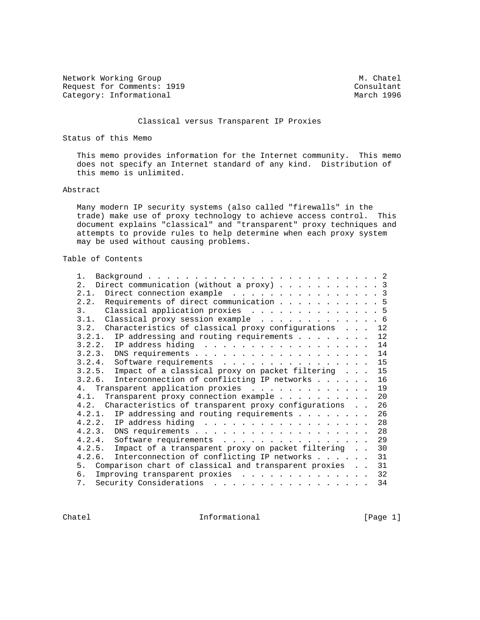Network Working Group Methods and M. Chatel Request for Comments: 1919<br>
Category: Informational<br>
Category: Informational Category: Informational

## Classical versus Transparent IP Proxies

Status of this Memo

 This memo provides information for the Internet community. This memo does not specify an Internet standard of any kind. Distribution of this memo is unlimited.

#### Abstract

 Many modern IP security systems (also called "firewalls" in the trade) make use of proxy technology to achieve access control. This document explains "classical" and "transparent" proxy techniques and attempts to provide rules to help determine when each proxy system may be used without causing problems.

# Table of Contents

| $1$ .                                                                                                                |  |  |  |    |
|----------------------------------------------------------------------------------------------------------------------|--|--|--|----|
| Direct communication (without a proxy) 3<br>2.                                                                       |  |  |  |    |
| Direct connection example 3<br>2.1.                                                                                  |  |  |  |    |
| Requirements of direct communication 5<br>2.2.                                                                       |  |  |  |    |
| Classical application proxies 5<br>3.                                                                                |  |  |  |    |
| 3.1. Classical proxy session example 6                                                                               |  |  |  |    |
| 3.2. Characteristics of classical proxy configurations 12                                                            |  |  |  |    |
| IP addressing and routing requirements<br>3.2.1.                                                                     |  |  |  | 12 |
| 3.2.2.<br>IP address hiding $\ldots$ 14                                                                              |  |  |  |    |
| 3.2.3.                                                                                                               |  |  |  | 14 |
| 3.2.4.<br>Software requirements 15                                                                                   |  |  |  |    |
| Impact of a classical proxy on packet filtering<br>3.2.5.                                                            |  |  |  | 15 |
| 3.2.6.<br>Interconnection of conflicting IP networks                                                                 |  |  |  | 16 |
| Transparent application proxies<br>4 <sub>1</sub>                                                                    |  |  |  | 19 |
| Transparent proxy connection example<br>4.1.                                                                         |  |  |  | 20 |
| Characteristics of transparent proxy configurations<br>4.2.                                                          |  |  |  | 26 |
|                                                                                                                      |  |  |  |    |
| IP addressing and routing requirements $\ldots$<br>4.2.1.                                                            |  |  |  | 26 |
| IP address hiding<br>4.2.2.                                                                                          |  |  |  | 28 |
| 4.2.3.                                                                                                               |  |  |  | 28 |
| 4.2.4.<br>Software requirements                                                                                      |  |  |  | 29 |
| 4.2.5.<br>Impact of a transparent proxy on packet filtering                                                          |  |  |  | 30 |
| Interconnection of conflicting IP networks<br>4.2.6.                                                                 |  |  |  | 31 |
| 5. Comparison chart of classical and transparent proxies                                                             |  |  |  | 31 |
| 6.<br>Improving transparent proxies                                                                                  |  |  |  | 32 |
| Security Considerations<br>7.<br>. The contract of the contract of the contract of the contract of the $\mathcal{A}$ |  |  |  | 34 |

Chatel **Informational** Informational [Page 1]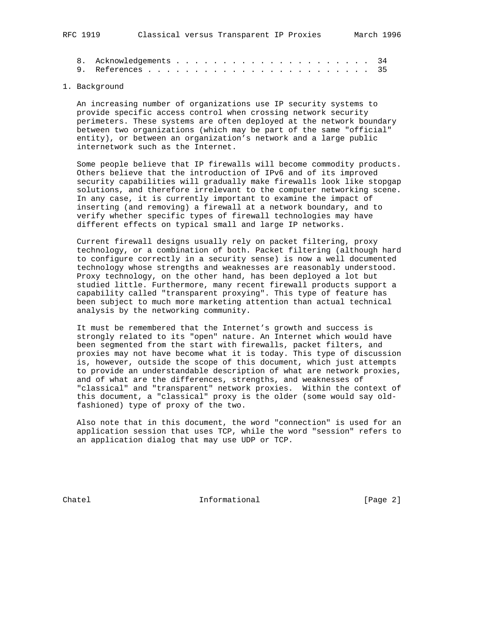# 1. Background

 An increasing number of organizations use IP security systems to provide specific access control when crossing network security perimeters. These systems are often deployed at the network boundary between two organizations (which may be part of the same "official" entity), or between an organization's network and a large public internetwork such as the Internet.

 Some people believe that IP firewalls will become commodity products. Others believe that the introduction of IPv6 and of its improved security capabilities will gradually make firewalls look like stopgap solutions, and therefore irrelevant to the computer networking scene. In any case, it is currently important to examine the impact of inserting (and removing) a firewall at a network boundary, and to verify whether specific types of firewall technologies may have different effects on typical small and large IP networks.

 Current firewall designs usually rely on packet filtering, proxy technology, or a combination of both. Packet filtering (although hard to configure correctly in a security sense) is now a well documented technology whose strengths and weaknesses are reasonably understood. Proxy technology, on the other hand, has been deployed a lot but studied little. Furthermore, many recent firewall products support a capability called "transparent proxying". This type of feature has been subject to much more marketing attention than actual technical analysis by the networking community.

 It must be remembered that the Internet's growth and success is strongly related to its "open" nature. An Internet which would have been segmented from the start with firewalls, packet filters, and proxies may not have become what it is today. This type of discussion is, however, outside the scope of this document, which just attempts to provide an understandable description of what are network proxies, and of what are the differences, strengths, and weaknesses of "classical" and "transparent" network proxies. Within the context of this document, a "classical" proxy is the older (some would say old fashioned) type of proxy of the two.

 Also note that in this document, the word "connection" is used for an application session that uses TCP, while the word "session" refers to an application dialog that may use UDP or TCP.

Chatel **Informational** Informational [Page 2]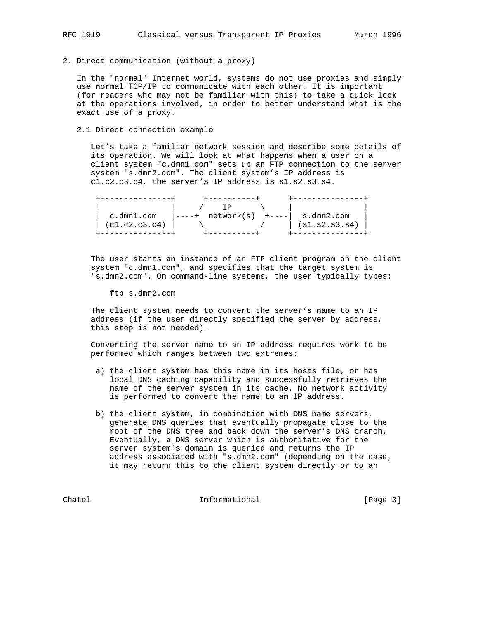2. Direct communication (without a proxy)

 In the "normal" Internet world, systems do not use proxies and simply use normal TCP/IP to communicate with each other. It is important (for readers who may not be familiar with this) to take a quick look at the operations involved, in order to better understand what is the exact use of a proxy.

2.1 Direct connection example

 Let's take a familiar network session and describe some details of its operation. We will look at what happens when a user on a client system "c.dmn1.com" sets up an FTP connection to the server system "s.dmn2.com". The client system's IP address is c1.c2.c3.c4, the server's IP address is s1.s2.s3.s4.

| c.dmnl.com    | $\begin{vmatrix} - & - & -+ & \text{network}(s) & + & - & -- \end{vmatrix}$ s.dmn2.com |               |
|---------------|----------------------------------------------------------------------------------------|---------------|
| (cl.c2.c3.c4) |                                                                                        | (s1.s2.s3.s4) |
|               |                                                                                        |               |

 The user starts an instance of an FTP client program on the client system "c.dmn1.com", and specifies that the target system is "s.dmn2.com". On command-line systems, the user typically types:

ftp s.dmn2.com

 The client system needs to convert the server's name to an IP address (if the user directly specified the server by address, this step is not needed).

 Converting the server name to an IP address requires work to be performed which ranges between two extremes:

- a) the client system has this name in its hosts file, or has local DNS caching capability and successfully retrieves the name of the server system in its cache. No network activity is performed to convert the name to an IP address.
- b) the client system, in combination with DNS name servers, generate DNS queries that eventually propagate close to the root of the DNS tree and back down the server's DNS branch. Eventually, a DNS server which is authoritative for the server system's domain is queried and returns the IP address associated with "s.dmn2.com" (depending on the case, it may return this to the client system directly or to an

Chatel **Informational** Informational [Page 3]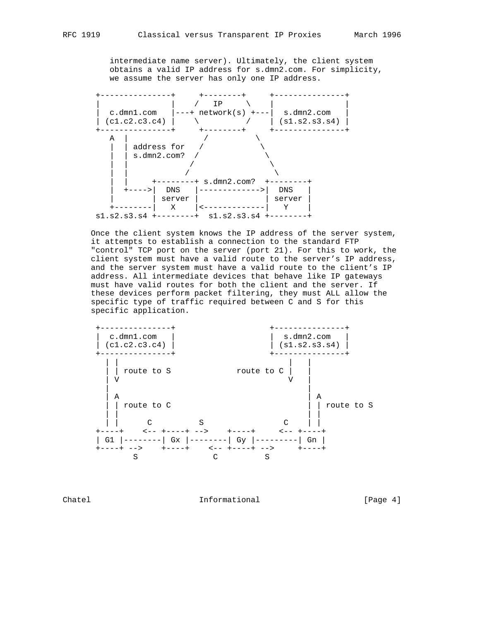intermediate name server). Ultimately, the client system obtains a valid IP address for s.dmn2.com. For simplicity, we assume the server has only one IP address.



 Once the client system knows the IP address of the server system, it attempts to establish a connection to the standard FTP "control" TCP port on the server (port 21). For this to work, the client system must have a valid route to the server's IP address, and the server system must have a valid route to the client's IP address. All intermediate devices that behave like IP gateways must have valid routes for both the client and the server. If these devices perform packet filtering, they must ALL allow the specific type of traffic required between C and S for this specific application.



Chatel **Informational** Informational [Page 4]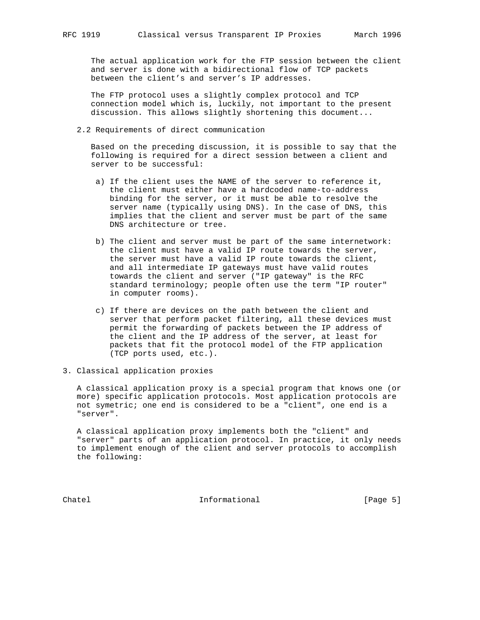The actual application work for the FTP session between the client and server is done with a bidirectional flow of TCP packets between the client's and server's IP addresses.

 The FTP protocol uses a slightly complex protocol and TCP connection model which is, luckily, not important to the present discussion. This allows slightly shortening this document...

2.2 Requirements of direct communication

 Based on the preceding discussion, it is possible to say that the following is required for a direct session between a client and server to be successful:

- a) If the client uses the NAME of the server to reference it, the client must either have a hardcoded name-to-address binding for the server, or it must be able to resolve the server name (typically using DNS). In the case of DNS, this implies that the client and server must be part of the same DNS architecture or tree.
- b) The client and server must be part of the same internetwork: the client must have a valid IP route towards the server, the server must have a valid IP route towards the client, and all intermediate IP gateways must have valid routes towards the client and server ("IP gateway" is the RFC standard terminology; people often use the term "IP router" in computer rooms).
- c) If there are devices on the path between the client and server that perform packet filtering, all these devices must permit the forwarding of packets between the IP address of the client and the IP address of the server, at least for packets that fit the protocol model of the FTP application (TCP ports used, etc.).
- 3. Classical application proxies

 A classical application proxy is a special program that knows one (or more) specific application protocols. Most application protocols are not symetric; one end is considered to be a "client", one end is a "server".

 A classical application proxy implements both the "client" and "server" parts of an application protocol. In practice, it only needs to implement enough of the client and server protocols to accomplish the following:

Chatel **Informational Informational** [Page 5]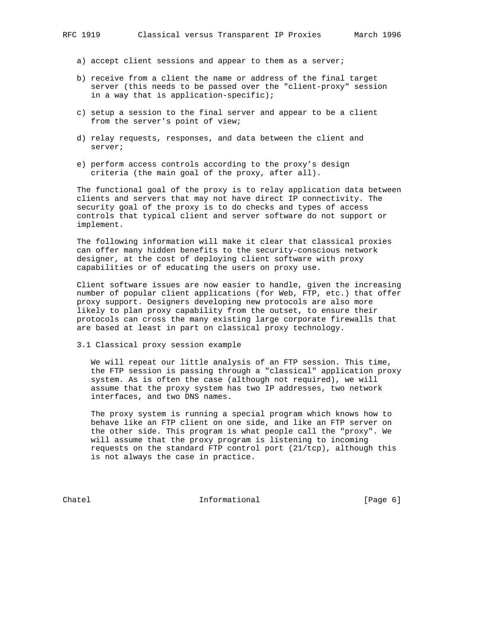- a) accept client sessions and appear to them as a server;
- b) receive from a client the name or address of the final target server (this needs to be passed over the "client-proxy" session in a way that is application-specific);
- c) setup a session to the final server and appear to be a client from the server's point of view;
- d) relay requests, responses, and data between the client and server;
- e) perform access controls according to the proxy's design criteria (the main goal of the proxy, after all).

 The functional goal of the proxy is to relay application data between clients and servers that may not have direct IP connectivity. The security goal of the proxy is to do checks and types of access controls that typical client and server software do not support or implement.

 The following information will make it clear that classical proxies can offer many hidden benefits to the security-conscious network designer, at the cost of deploying client software with proxy capabilities or of educating the users on proxy use.

 Client software issues are now easier to handle, given the increasing number of popular client applications (for Web, FTP, etc.) that offer proxy support. Designers developing new protocols are also more likely to plan proxy capability from the outset, to ensure their protocols can cross the many existing large corporate firewalls that are based at least in part on classical proxy technology.

3.1 Classical proxy session example

 We will repeat our little analysis of an FTP session. This time, the FTP session is passing through a "classical" application proxy system. As is often the case (although not required), we will assume that the proxy system has two IP addresses, two network interfaces, and two DNS names.

 The proxy system is running a special program which knows how to behave like an FTP client on one side, and like an FTP server on the other side. This program is what people call the "proxy". We will assume that the proxy program is listening to incoming requests on the standard FTP control port (21/tcp), although this is not always the case in practice.

Chatel **Informational** Informational [Page 6]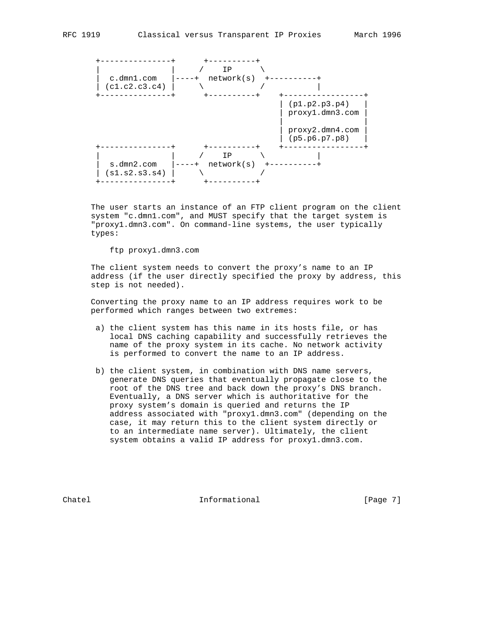

 The user starts an instance of an FTP client program on the client system "c.dmn1.com", and MUST specify that the target system is "proxy1.dmn3.com". On command-line systems, the user typically types:

## ftp proxy1.dmn3.com

 The client system needs to convert the proxy's name to an IP address (if the user directly specified the proxy by address, this step is not needed).

 Converting the proxy name to an IP address requires work to be performed which ranges between two extremes:

- a) the client system has this name in its hosts file, or has local DNS caching capability and successfully retrieves the name of the proxy system in its cache. No network activity is performed to convert the name to an IP address.
- b) the client system, in combination with DNS name servers, generate DNS queries that eventually propagate close to the root of the DNS tree and back down the proxy's DNS branch. Eventually, a DNS server which is authoritative for the proxy system's domain is queried and returns the IP address associated with "proxy1.dmn3.com" (depending on the case, it may return this to the client system directly or to an intermediate name server). Ultimately, the client system obtains a valid IP address for proxy1.dmn3.com.

Chatel **Informational** Informational [Page 7]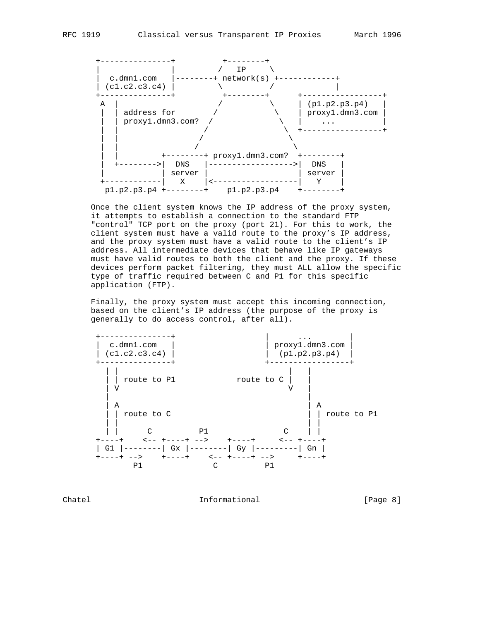

 Once the client system knows the IP address of the proxy system, it attempts to establish a connection to the standard FTP "control" TCP port on the proxy (port 21). For this to work, the client system must have a valid route to the proxy's IP address, and the proxy system must have a valid route to the client's IP address. All intermediate devices that behave like IP gateways must have valid routes to both the client and the proxy. If these devices perform packet filtering, they must ALL allow the specific type of traffic required between C and P1 for this specific application (FTP).

 Finally, the proxy system must accept this incoming connection, based on the client's IP address (the purpose of the proxy is generally to do access control, after all).



Chatel **Informational Informational** [Page 8]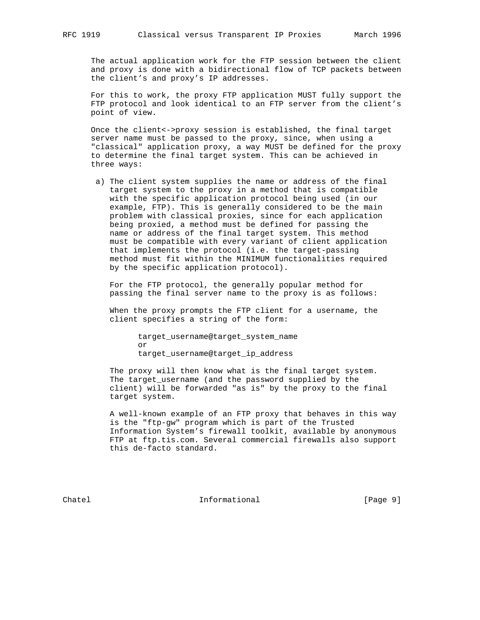The actual application work for the FTP session between the client and proxy is done with a bidirectional flow of TCP packets between the client's and proxy's IP addresses.

 For this to work, the proxy FTP application MUST fully support the FTP protocol and look identical to an FTP server from the client's point of view.

 Once the client<->proxy session is established, the final target server name must be passed to the proxy, since, when using a "classical" application proxy, a way MUST be defined for the proxy to determine the final target system. This can be achieved in three ways:

 a) The client system supplies the name or address of the final target system to the proxy in a method that is compatible with the specific application protocol being used (in our example, FTP). This is generally considered to be the main problem with classical proxies, since for each application being proxied, a method must be defined for passing the name or address of the final target system. This method must be compatible with every variant of client application that implements the protocol (i.e. the target-passing method must fit within the MINIMUM functionalities required by the specific application protocol).

 For the FTP protocol, the generally popular method for passing the final server name to the proxy is as follows:

 When the proxy prompts the FTP client for a username, the client specifies a string of the form:

 target\_username@target\_system\_name or target\_username@target\_ip\_address

> The proxy will then know what is the final target system. The target\_username (and the password supplied by the client) will be forwarded "as is" by the proxy to the final target system.

 A well-known example of an FTP proxy that behaves in this way is the "ftp-gw" program which is part of the Trusted Information System's firewall toolkit, available by anonymous FTP at ftp.tis.com. Several commercial firewalls also support this de-facto standard.

Chatel **Informational** Informational [Page 9]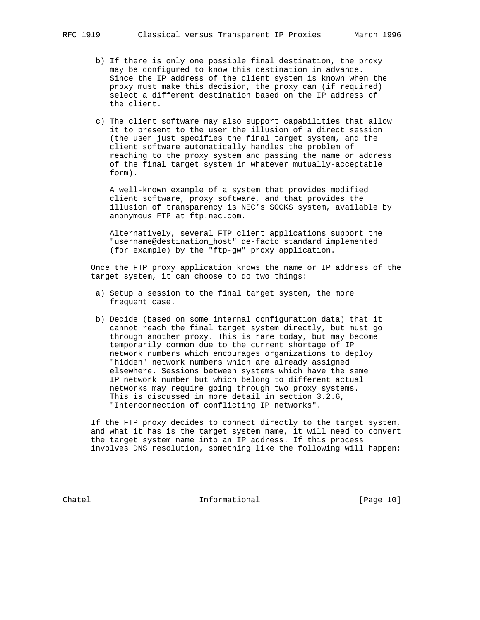- b) If there is only one possible final destination, the proxy may be configured to know this destination in advance. Since the IP address of the client system is known when the proxy must make this decision, the proxy can (if required)
	- c) The client software may also support capabilities that allow it to present to the user the illusion of a direct session (the user just specifies the final target system, and the client software automatically handles the problem of reaching to the proxy system and passing the name or address of the final target system in whatever mutually-acceptable form).

select a different destination based on the IP address of

 A well-known example of a system that provides modified client software, proxy software, and that provides the illusion of transparency is NEC's SOCKS system, available by anonymous FTP at ftp.nec.com.

 Alternatively, several FTP client applications support the "username@destination\_host" de-facto standard implemented (for example) by the "ftp-gw" proxy application.

 Once the FTP proxy application knows the name or IP address of the target system, it can choose to do two things:

- a) Setup a session to the final target system, the more frequent case.
- b) Decide (based on some internal configuration data) that it cannot reach the final target system directly, but must go through another proxy. This is rare today, but may become temporarily common due to the current shortage of IP network numbers which encourages organizations to deploy "hidden" network numbers which are already assigned elsewhere. Sessions between systems which have the same IP network number but which belong to different actual networks may require going through two proxy systems. This is discussed in more detail in section 3.2.6, "Interconnection of conflicting IP networks".

 If the FTP proxy decides to connect directly to the target system, and what it has is the target system name, it will need to convert the target system name into an IP address. If this process involves DNS resolution, something like the following will happen:

Chatel **Informational Informational** [Page 10]

the client.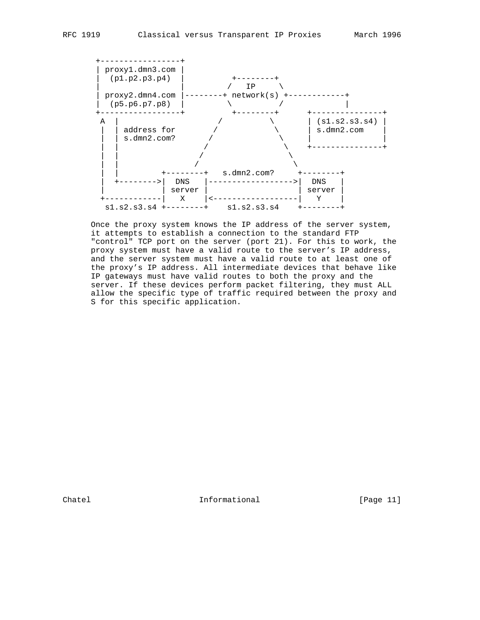

 Once the proxy system knows the IP address of the server system, it attempts to establish a connection to the standard FTP "control" TCP port on the server (port 21). For this to work, the proxy system must have a valid route to the server's IP address, and the server system must have a valid route to at least one of the proxy's IP address. All intermediate devices that behave like IP gateways must have valid routes to both the proxy and the server. If these devices perform packet filtering, they must ALL allow the specific type of traffic required between the proxy and S for this specific application.

Chatel **Informational** Informational [Page 11]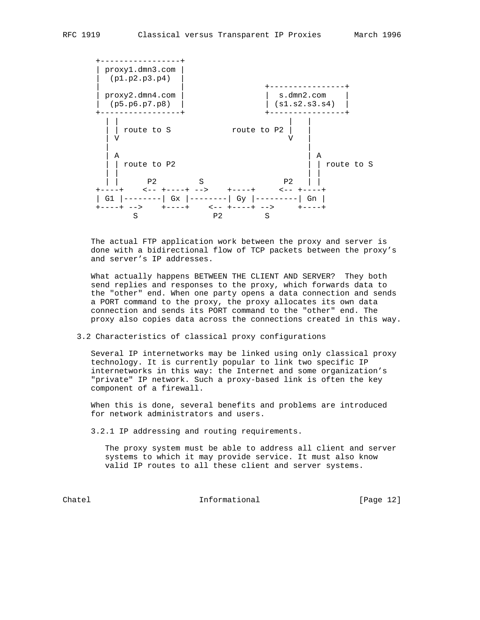

 The actual FTP application work between the proxy and server is done with a bidirectional flow of TCP packets between the proxy's and server's IP addresses.

 What actually happens BETWEEN THE CLIENT AND SERVER? They both send replies and responses to the proxy, which forwards data to the "other" end. When one party opens a data connection and sends a PORT command to the proxy, the proxy allocates its own data connection and sends its PORT command to the "other" end. The proxy also copies data across the connections created in this way.

## 3.2 Characteristics of classical proxy configurations

 Several IP internetworks may be linked using only classical proxy technology. It is currently popular to link two specific IP internetworks in this way: the Internet and some organization's "private" IP network. Such a proxy-based link is often the key component of a firewall.

 When this is done, several benefits and problems are introduced for network administrators and users.

3.2.1 IP addressing and routing requirements.

 The proxy system must be able to address all client and server systems to which it may provide service. It must also know valid IP routes to all these client and server systems.

Chatel **Informational** Informational [Page 12]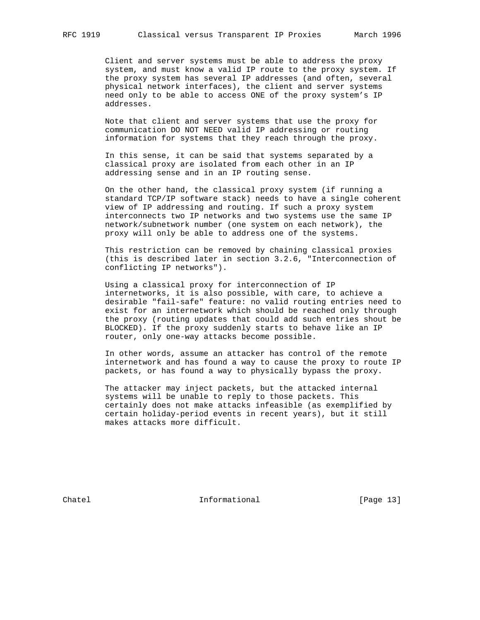Client and server systems must be able to address the proxy system, and must know a valid IP route to the proxy system. If the proxy system has several IP addresses (and often, several physical network interfaces), the client and server systems need only to be able to access ONE of the proxy system's IP addresses.

 Note that client and server systems that use the proxy for communication DO NOT NEED valid IP addressing or routing information for systems that they reach through the proxy.

 In this sense, it can be said that systems separated by a classical proxy are isolated from each other in an IP addressing sense and in an IP routing sense.

 On the other hand, the classical proxy system (if running a standard TCP/IP software stack) needs to have a single coherent view of IP addressing and routing. If such a proxy system interconnects two IP networks and two systems use the same IP network/subnetwork number (one system on each network), the proxy will only be able to address one of the systems.

 This restriction can be removed by chaining classical proxies (this is described later in section 3.2.6, "Interconnection of conflicting IP networks").

 Using a classical proxy for interconnection of IP internetworks, it is also possible, with care, to achieve a desirable "fail-safe" feature: no valid routing entries need to exist for an internetwork which should be reached only through the proxy (routing updates that could add such entries shout be BLOCKED). If the proxy suddenly starts to behave like an IP router, only one-way attacks become possible.

 In other words, assume an attacker has control of the remote internetwork and has found a way to cause the proxy to route IP packets, or has found a way to physically bypass the proxy.

 The attacker may inject packets, but the attacked internal systems will be unable to reply to those packets. This certainly does not make attacks infeasible (as exemplified by certain holiday-period events in recent years), but it still makes attacks more difficult.

Chatel **Informational Informational** [Page 13]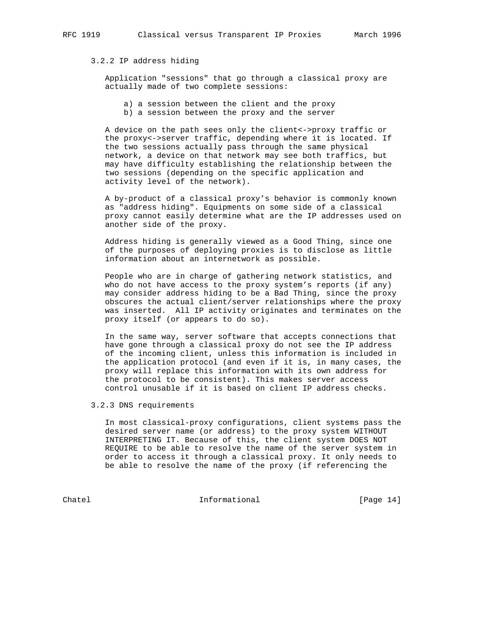# 3.2.2 IP address hiding

 Application "sessions" that go through a classical proxy are actually made of two complete sessions:

- a) a session between the client and the proxy
- b) a session between the proxy and the server

 A device on the path sees only the client<->proxy traffic or the proxy<->server traffic, depending where it is located. If the two sessions actually pass through the same physical network, a device on that network may see both traffics, but may have difficulty establishing the relationship between the two sessions (depending on the specific application and activity level of the network).

 A by-product of a classical proxy's behavior is commonly known as "address hiding". Equipments on some side of a classical proxy cannot easily determine what are the IP addresses used on another side of the proxy.

 Address hiding is generally viewed as a Good Thing, since one of the purposes of deploying proxies is to disclose as little information about an internetwork as possible.

 People who are in charge of gathering network statistics, and who do not have access to the proxy system's reports (if any) may consider address hiding to be a Bad Thing, since the proxy obscures the actual client/server relationships where the proxy was inserted. All IP activity originates and terminates on the proxy itself (or appears to do so).

 In the same way, server software that accepts connections that have gone through a classical proxy do not see the IP address of the incoming client, unless this information is included in the application protocol (and even if it is, in many cases, the proxy will replace this information with its own address for the protocol to be consistent). This makes server access control unusable if it is based on client IP address checks.

3.2.3 DNS requirements

 In most classical-proxy configurations, client systems pass the desired server name (or address) to the proxy system WITHOUT INTERPRETING IT. Because of this, the client system DOES NOT REQUIRE to be able to resolve the name of the server system in order to access it through a classical proxy. It only needs to be able to resolve the name of the proxy (if referencing the

Chatel **Informational Informational** [Page 14]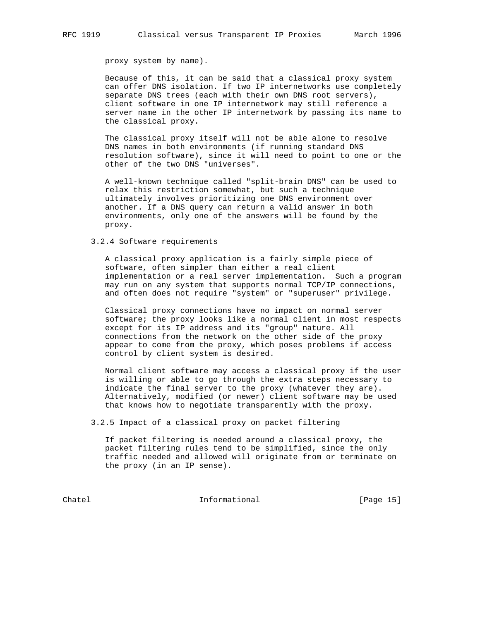proxy system by name).

 Because of this, it can be said that a classical proxy system can offer DNS isolation. If two IP internetworks use completely separate DNS trees (each with their own DNS root servers), client software in one IP internetwork may still reference a server name in the other IP internetwork by passing its name to the classical proxy.

 The classical proxy itself will not be able alone to resolve DNS names in both environments (if running standard DNS resolution software), since it will need to point to one or the other of the two DNS "universes".

 A well-known technique called "split-brain DNS" can be used to relax this restriction somewhat, but such a technique ultimately involves prioritizing one DNS environment over another. If a DNS query can return a valid answer in both environments, only one of the answers will be found by the proxy.

## 3.2.4 Software requirements

 A classical proxy application is a fairly simple piece of software, often simpler than either a real client implementation or a real server implementation. Such a program may run on any system that supports normal TCP/IP connections, and often does not require "system" or "superuser" privilege.

 Classical proxy connections have no impact on normal server software; the proxy looks like a normal client in most respects except for its IP address and its "group" nature. All connections from the network on the other side of the proxy appear to come from the proxy, which poses problems if access control by client system is desired.

 Normal client software may access a classical proxy if the user is willing or able to go through the extra steps necessary to indicate the final server to the proxy (whatever they are). Alternatively, modified (or newer) client software may be used that knows how to negotiate transparently with the proxy.

3.2.5 Impact of a classical proxy on packet filtering

 If packet filtering is needed around a classical proxy, the packet filtering rules tend to be simplified, since the only traffic needed and allowed will originate from or terminate on the proxy (in an IP sense).

Chatel **Informational** [Page 15]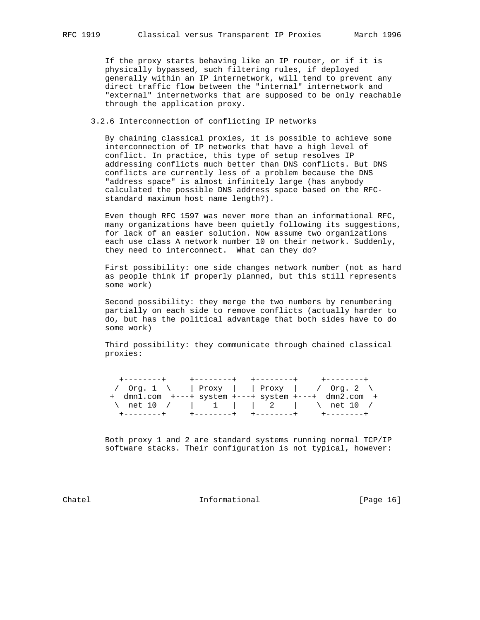If the proxy starts behaving like an IP router, or if it is physically bypassed, such filtering rules, if deployed generally within an IP internetwork, will tend to prevent any direct traffic flow between the "internal" internetwork and "external" internetworks that are supposed to be only reachable through the application proxy.

3.2.6 Interconnection of conflicting IP networks

 By chaining classical proxies, it is possible to achieve some interconnection of IP networks that have a high level of conflict. In practice, this type of setup resolves IP addressing conflicts much better than DNS conflicts. But DNS conflicts are currently less of a problem because the DNS "address space" is almost infinitely large (has anybody calculated the possible DNS address space based on the RFC standard maximum host name length?).

 Even though RFC 1597 was never more than an informational RFC, many organizations have been quietly following its suggestions, for lack of an easier solution. Now assume two organizations each use class A network number 10 on their network. Suddenly, they need to interconnect. What can they do?

 First possibility: one side changes network number (not as hard as people think if properly planned, but this still represents some work)

 Second possibility: they merge the two numbers by renumbering partially on each side to remove conflicts (actually harder to do, but has the political advantage that both sides have to do some work)

 Third possibility: they communicate through chained classical proxies:

| +--------+                                                      |  |  | +--------+ +--------+ +-------+   |  |
|-----------------------------------------------------------------|--|--|-----------------------------------|--|
| / Org. 1 \   Proxy     Proxy   / Org. 2 \                       |  |  |                                   |  |
| $+$ dmnl.com $+---+$ system $+---+$ system $+---+$ dmn2.com $+$ |  |  |                                   |  |
| \ net 10 /   1     2   \ net 10 /                               |  |  |                                   |  |
|                                                                 |  |  | +---------+ +--------+ +--------+ |  |

 Both proxy 1 and 2 are standard systems running normal TCP/IP software stacks. Their configuration is not typical, however:

Chatel **Informational Informational** [Page 16]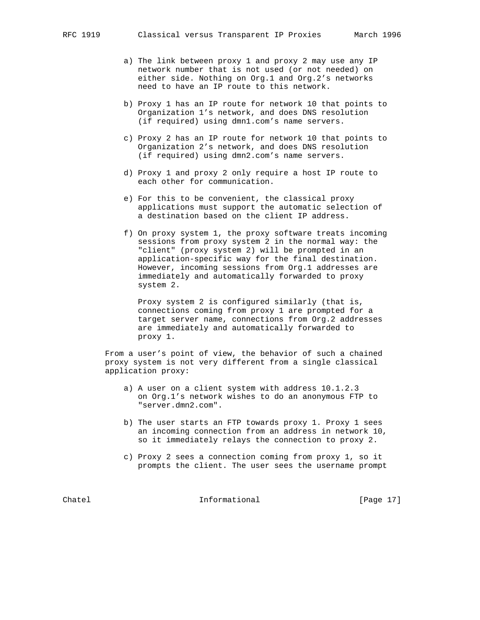- a) The link between proxy 1 and proxy 2 may use any IP network number that is not used (or not needed) on either side. Nothing on Org.1 and Org.2's networks need to have an IP route to this network.
- b) Proxy 1 has an IP route for network 10 that points to Organization 1's network, and does DNS resolution (if required) using dmn1.com's name servers.
- c) Proxy 2 has an IP route for network 10 that points to Organization 2's network, and does DNS resolution (if required) using dmn2.com's name servers.
- d) Proxy 1 and proxy 2 only require a host IP route to each other for communication.
- e) For this to be convenient, the classical proxy applications must support the automatic selection of a destination based on the client IP address.
- f) On proxy system 1, the proxy software treats incoming sessions from proxy system 2 in the normal way: the "client" (proxy system 2) will be prompted in an application-specific way for the final destination. However, incoming sessions from Org.1 addresses are immediately and automatically forwarded to proxy system 2.

 Proxy system 2 is configured similarly (that is, connections coming from proxy 1 are prompted for a target server name, connections from Org.2 addresses are immediately and automatically forwarded to proxy 1.

 From a user's point of view, the behavior of such a chained proxy system is not very different from a single classical application proxy:

- a) A user on a client system with address 10.1.2.3 on Org.1's network wishes to do an anonymous FTP to "server.dmn2.com".
- b) The user starts an FTP towards proxy 1. Proxy 1 sees an incoming connection from an address in network 10, so it immediately relays the connection to proxy 2.
- c) Proxy 2 sees a connection coming from proxy 1, so it prompts the client. The user sees the username prompt

Chatel **Informational Informational** [Page 17]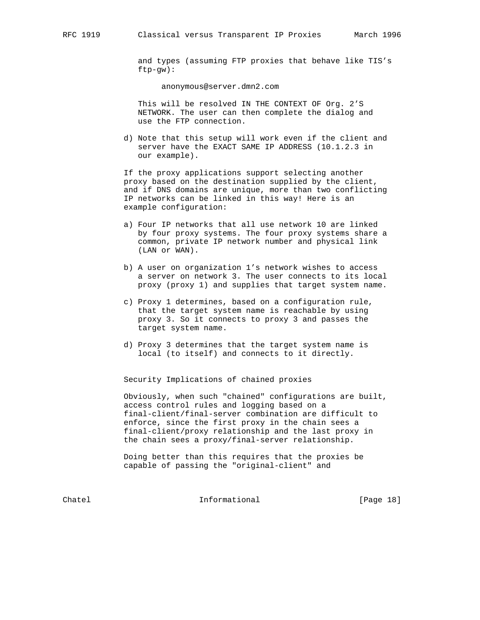and types (assuming FTP proxies that behave like TIS's ftp-gw):

anonymous@server.dmn2.com

 This will be resolved IN THE CONTEXT OF Org. 2'S NETWORK. The user can then complete the dialog and use the FTP connection.

 d) Note that this setup will work even if the client and server have the EXACT SAME IP ADDRESS (10.1.2.3 in our example).

 If the proxy applications support selecting another proxy based on the destination supplied by the client, and if DNS domains are unique, more than two conflicting IP networks can be linked in this way! Here is an example configuration:

- a) Four IP networks that all use network 10 are linked by four proxy systems. The four proxy systems share a common, private IP network number and physical link (LAN or WAN).
- b) A user on organization 1's network wishes to access a server on network 3. The user connects to its local proxy (proxy 1) and supplies that target system name.
- c) Proxy 1 determines, based on a configuration rule, that the target system name is reachable by using proxy 3. So it connects to proxy 3 and passes the target system name.
- d) Proxy 3 determines that the target system name is local (to itself) and connects to it directly.

Security Implications of chained proxies

 Obviously, when such "chained" configurations are built, access control rules and logging based on a final-client/final-server combination are difficult to enforce, since the first proxy in the chain sees a final-client/proxy relationship and the last proxy in the chain sees a proxy/final-server relationship.

 Doing better than this requires that the proxies be capable of passing the "original-client" and

Chatel **Informational** Informational [Page 18]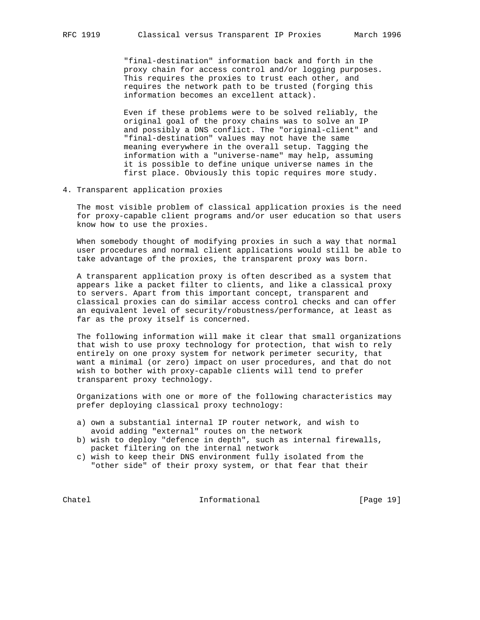"final-destination" information back and forth in the proxy chain for access control and/or logging purposes. This requires the proxies to trust each other, and requires the network path to be trusted (forging this information becomes an excellent attack).

 Even if these problems were to be solved reliably, the original goal of the proxy chains was to solve an IP and possibly a DNS conflict. The "original-client" and "final-destination" values may not have the same meaning everywhere in the overall setup. Tagging the information with a "universe-name" may help, assuming it is possible to define unique universe names in the first place. Obviously this topic requires more study.

4. Transparent application proxies

 The most visible problem of classical application proxies is the need for proxy-capable client programs and/or user education so that users know how to use the proxies.

 When somebody thought of modifying proxies in such a way that normal user procedures and normal client applications would still be able to take advantage of the proxies, the transparent proxy was born.

 A transparent application proxy is often described as a system that appears like a packet filter to clients, and like a classical proxy to servers. Apart from this important concept, transparent and classical proxies can do similar access control checks and can offer an equivalent level of security/robustness/performance, at least as far as the proxy itself is concerned.

 The following information will make it clear that small organizations that wish to use proxy technology for protection, that wish to rely entirely on one proxy system for network perimeter security, that want a minimal (or zero) impact on user procedures, and that do not wish to bother with proxy-capable clients will tend to prefer transparent proxy technology.

 Organizations with one or more of the following characteristics may prefer deploying classical proxy technology:

- a) own a substantial internal IP router network, and wish to avoid adding "external" routes on the network
- b) wish to deploy "defence in depth", such as internal firewalls, packet filtering on the internal network
- c) wish to keep their DNS environment fully isolated from the "other side" of their proxy system, or that fear that their

Chatel **Informational** Informational [Page 19]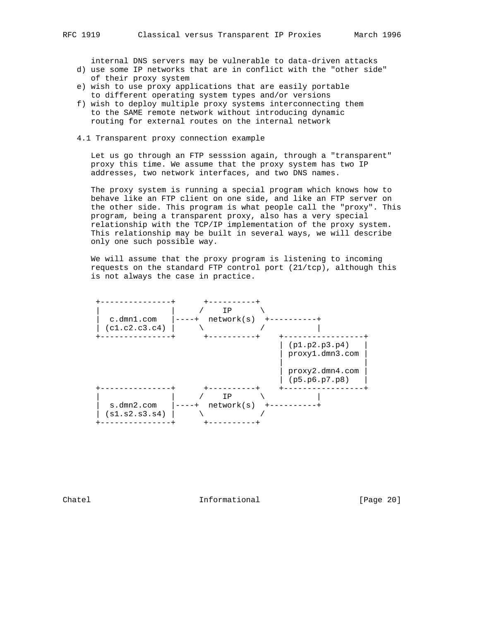internal DNS servers may be vulnerable to data-driven attacks

- d) use some IP networks that are in conflict with the "other side" of their proxy system
- e) wish to use proxy applications that are easily portable to different operating system types and/or versions
- f) wish to deploy multiple proxy systems interconnecting them to the SAME remote network without introducing dynamic routing for external routes on the internal network
- 4.1 Transparent proxy connection example

 Let us go through an FTP sesssion again, through a "transparent" proxy this time. We assume that the proxy system has two IP addresses, two network interfaces, and two DNS names.

 The proxy system is running a special program which knows how to behave like an FTP client on one side, and like an FTP server on the other side. This program is what people call the "proxy". This program, being a transparent proxy, also has a very special relationship with the TCP/IP implementation of the proxy system. This relationship may be built in several ways, we will describe only one such possible way.

 We will assume that the proxy program is listening to incoming requests on the standard FTP control port (21/tcp), although this is not always the case in practice.



Chatel Informational [Page 20]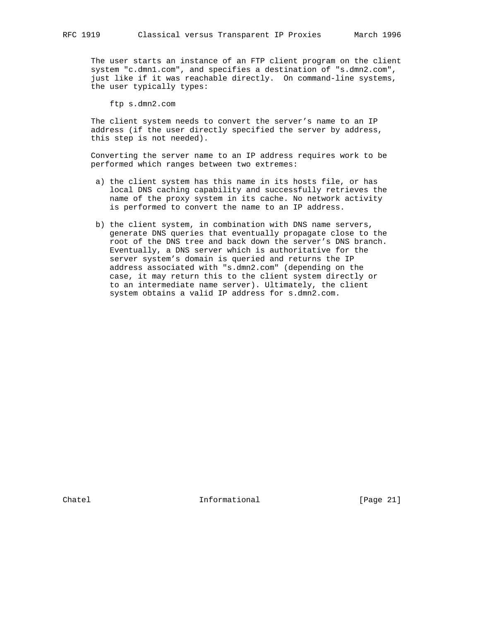The user starts an instance of an FTP client program on the client system "c.dmn1.com", and specifies a destination of "s.dmn2.com", just like if it was reachable directly. On command-line systems, the user typically types:

ftp s.dmn2.com

 The client system needs to convert the server's name to an IP address (if the user directly specified the server by address, this step is not needed).

 Converting the server name to an IP address requires work to be performed which ranges between two extremes:

- a) the client system has this name in its hosts file, or has local DNS caching capability and successfully retrieves the name of the proxy system in its cache. No network activity is performed to convert the name to an IP address.
- b) the client system, in combination with DNS name servers, generate DNS queries that eventually propagate close to the root of the DNS tree and back down the server's DNS branch. Eventually, a DNS server which is authoritative for the server system's domain is queried and returns the IP address associated with "s.dmn2.com" (depending on the case, it may return this to the client system directly or to an intermediate name server). Ultimately, the client system obtains a valid IP address for s.dmn2.com.

Chatel **Informational Informational** [Page 21]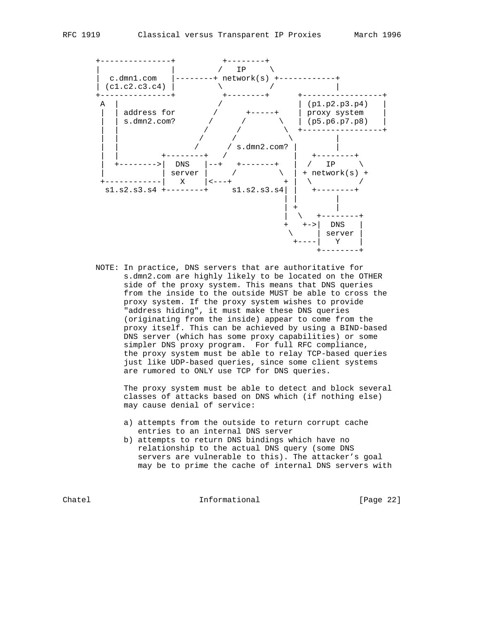



 NOTE: In practice, DNS servers that are authoritative for s.dmn2.com are highly likely to be located on the OTHER side of the proxy system. This means that DNS queries from the inside to the outside MUST be able to cross the proxy system. If the proxy system wishes to provide "address hiding", it must make these DNS queries (originating from the inside) appear to come from the proxy itself. This can be achieved by using a BIND-based DNS server (which has some proxy capabilities) or some simpler DNS proxy program. For full RFC compliance, the proxy system must be able to relay TCP-based queries just like UDP-based queries, since some client systems are rumored to ONLY use TCP for DNS queries.

 The proxy system must be able to detect and block several classes of attacks based on DNS which (if nothing else) may cause denial of service:

- a) attempts from the outside to return corrupt cache entries to an internal DNS server
- b) attempts to return DNS bindings which have no relationship to the actual DNS query (some DNS servers are vulnerable to this). The attacker's goal may be to prime the cache of internal DNS servers with

Chatel Informational [Page 22]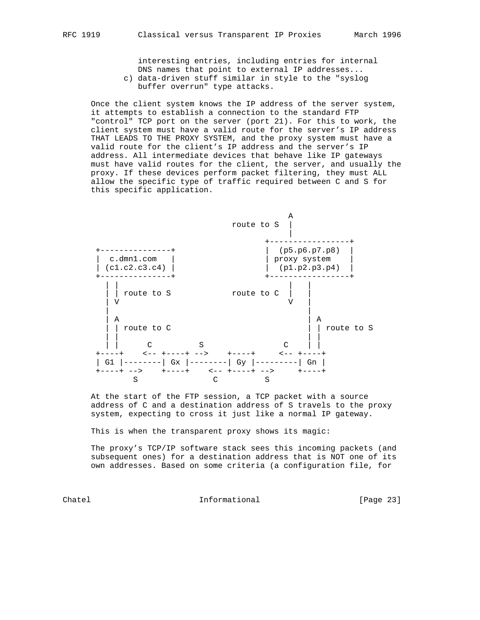interesting entries, including entries for internal DNS names that point to external IP addresses...

 c) data-driven stuff similar in style to the "syslog buffer overrun" type attacks.

 Once the client system knows the IP address of the server system, it attempts to establish a connection to the standard FTP "control" TCP port on the server (port 21). For this to work, the client system must have a valid route for the server's IP address THAT LEADS TO THE PROXY SYSTEM, and the proxy system must have a valid route for the client's IP address and the server's IP address. All intermediate devices that behave like IP gateways must have valid routes for the client, the server, and usually the proxy. If these devices perform packet filtering, they must ALL allow the specific type of traffic required between C and S for this specific application.



 At the start of the FTP session, a TCP packet with a source address of C and a destination address of S travels to the proxy system, expecting to cross it just like a normal IP gateway.

This is when the transparent proxy shows its magic:

 The proxy's TCP/IP software stack sees this incoming packets (and subsequent ones) for a destination address that is NOT one of its own addresses. Based on some criteria (a configuration file, for

Chatel **Informational** Informational [Page 23]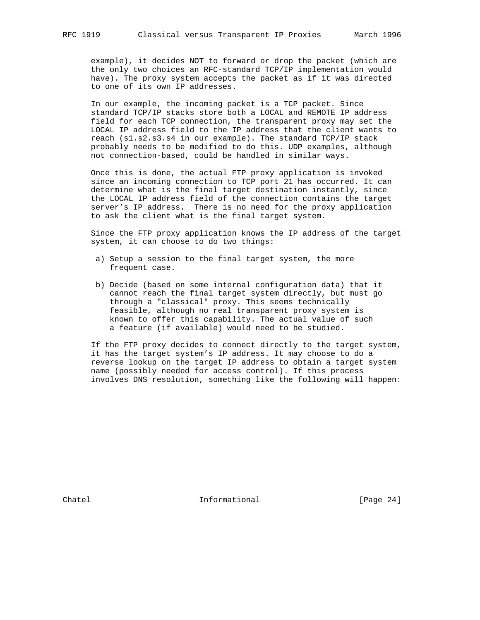example), it decides NOT to forward or drop the packet (which are the only two choices an RFC-standard TCP/IP implementation would have). The proxy system accepts the packet as if it was directed to one of its own IP addresses.

 In our example, the incoming packet is a TCP packet. Since standard TCP/IP stacks store both a LOCAL and REMOTE IP address field for each TCP connection, the transparent proxy may set the LOCAL IP address field to the IP address that the client wants to reach (s1.s2.s3.s4 in our example). The standard TCP/IP stack probably needs to be modified to do this. UDP examples, although not connection-based, could be handled in similar ways.

 Once this is done, the actual FTP proxy application is invoked since an incoming connection to TCP port 21 has occurred. It can determine what is the final target destination instantly, since the LOCAL IP address field of the connection contains the target server's IP address. There is no need for the proxy application to ask the client what is the final target system.

 Since the FTP proxy application knows the IP address of the target system, it can choose to do two things:

- a) Setup a session to the final target system, the more frequent case.
- b) Decide (based on some internal configuration data) that it cannot reach the final target system directly, but must go through a "classical" proxy. This seems technically feasible, although no real transparent proxy system is known to offer this capability. The actual value of such a feature (if available) would need to be studied.

 If the FTP proxy decides to connect directly to the target system, it has the target system's IP address. It may choose to do a reverse lookup on the target IP address to obtain a target system name (possibly needed for access control). If this process involves DNS resolution, something like the following will happen:

Chatel **Informational Informational** [Page 24]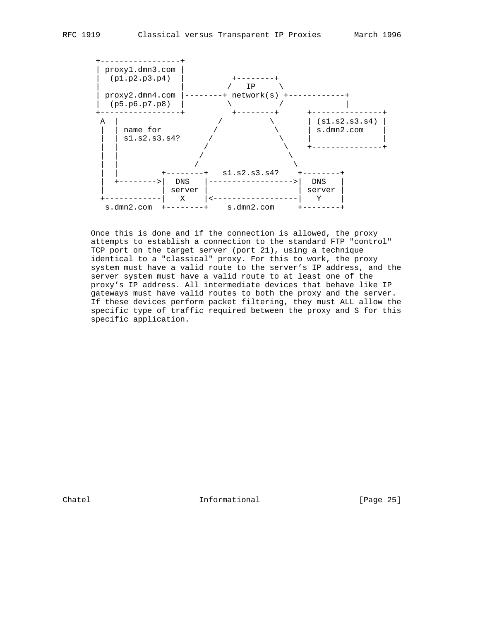

 Once this is done and if the connection is allowed, the proxy attempts to establish a connection to the standard FTP "control" TCP port on the target server (port 21), using a technique identical to a "classical" proxy. For this to work, the proxy system must have a valid route to the server's IP address, and the server system must have a valid route to at least one of the proxy's IP address. All intermediate devices that behave like IP gateways must have valid routes to both the proxy and the server. If these devices perform packet filtering, they must ALL allow the specific type of traffic required between the proxy and S for this specific application.

Chatel **Informational Informational** [Page 25]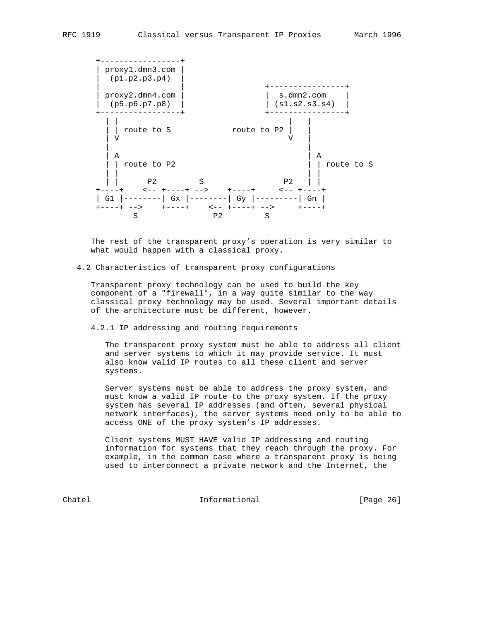

 The rest of the transparent proxy's operation is very similar to what would happen with a classical proxy.

## 4.2 Characteristics of transparent proxy configurations

 Transparent proxy technology can be used to build the key component of a "firewall", in a way quite similar to the way classical proxy technology may be used. Several important details of the architecture must be different, however.

4.2.1 IP addressing and routing requirements

 The transparent proxy system must be able to address all client and server systems to which it may provide service. It must also know valid IP routes to all these client and server systems.

 Server systems must be able to address the proxy system, and must know a valid IP route to the proxy system. If the proxy system has several IP addresses (and often, several physical network interfaces), the server systems need only to be able to access ONE of the proxy system's IP addresses.

 Client systems MUST HAVE valid IP addressing and routing information for systems that they reach through the proxy. For example, in the common case where a transparent proxy is being used to interconnect a private network and the Internet, the

Chatel **Informational Informational** [Page 26]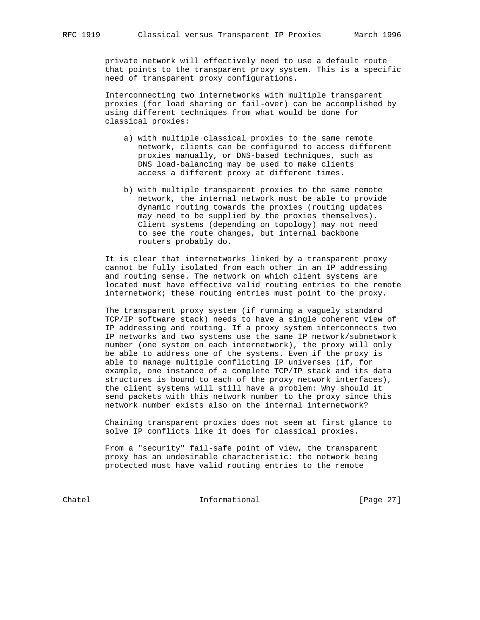private network will effectively need to use a default route that points to the transparent proxy system. This is a specific need of transparent proxy configurations.

 Interconnecting two internetworks with multiple transparent proxies (for load sharing or fail-over) can be accomplished by using different techniques from what would be done for classical proxies:

- a) with multiple classical proxies to the same remote network, clients can be configured to access different proxies manually, or DNS-based techniques, such as DNS load-balancing may be used to make clients access a different proxy at different times.
- b) with multiple transparent proxies to the same remote network, the internal network must be able to provide dynamic routing towards the proxies (routing updates may need to be supplied by the proxies themselves). Client systems (depending on topology) may not need to see the route changes, but internal backbone routers probably do.

 It is clear that internetworks linked by a transparent proxy cannot be fully isolated from each other in an IP addressing and routing sense. The network on which client systems are located must have effective valid routing entries to the remote internetwork; these routing entries must point to the proxy.

 The transparent proxy system (if running a vaguely standard TCP/IP software stack) needs to have a single coherent view of IP addressing and routing. If a proxy system interconnects two IP networks and two systems use the same IP network/subnetwork number (one system on each internetwork), the proxy will only be able to address one of the systems. Even if the proxy is able to manage multiple conflicting IP universes (if, for example, one instance of a complete TCP/IP stack and its data structures is bound to each of the proxy network interfaces), the client systems will still have a problem: Why should it send packets with this network number to the proxy since this network number exists also on the internal internetwork?

 Chaining transparent proxies does not seem at first glance to solve IP conflicts like it does for classical proxies.

 From a "security" fail-safe point of view, the transparent proxy has an undesirable characteristic: the network being protected must have valid routing entries to the remote

Chatel **Informational Informational** [Page 27]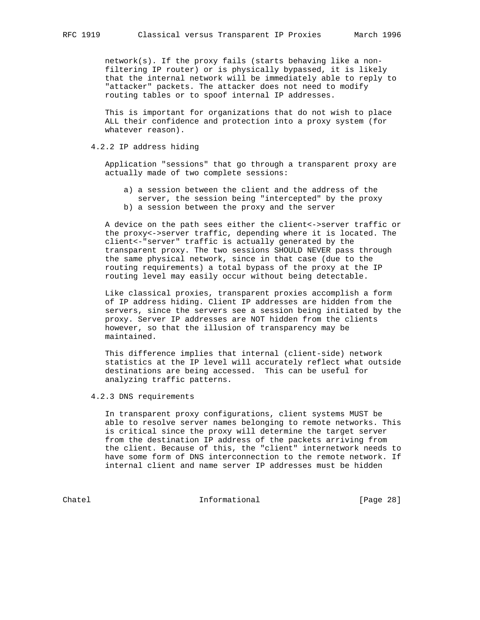network(s). If the proxy fails (starts behaving like a non filtering IP router) or is physically bypassed, it is likely that the internal network will be immediately able to reply to "attacker" packets. The attacker does not need to modify routing tables or to spoof internal IP addresses.

 This is important for organizations that do not wish to place ALL their confidence and protection into a proxy system (for whatever reason).

## 4.2.2 IP address hiding

 Application "sessions" that go through a transparent proxy are actually made of two complete sessions:

 a) a session between the client and the address of the server, the session being "intercepted" by the proxy b) a session between the proxy and the server

 A device on the path sees either the client<->server traffic or the proxy<->server traffic, depending where it is located. The client<-"server" traffic is actually generated by the transparent proxy. The two sessions SHOULD NEVER pass through the same physical network, since in that case (due to the routing requirements) a total bypass of the proxy at the IP routing level may easily occur without being detectable.

 Like classical proxies, transparent proxies accomplish a form of IP address hiding. Client IP addresses are hidden from the servers, since the servers see a session being initiated by the proxy. Server IP addresses are NOT hidden from the clients however, so that the illusion of transparency may be maintained.

 This difference implies that internal (client-side) network statistics at the IP level will accurately reflect what outside destinations are being accessed. This can be useful for analyzing traffic patterns.

4.2.3 DNS requirements

 In transparent proxy configurations, client systems MUST be able to resolve server names belonging to remote networks. This is critical since the proxy will determine the target server from the destination IP address of the packets arriving from the client. Because of this, the "client" internetwork needs to have some form of DNS interconnection to the remote network. If internal client and name server IP addresses must be hidden

Chatel **Informational Informational** [Page 28]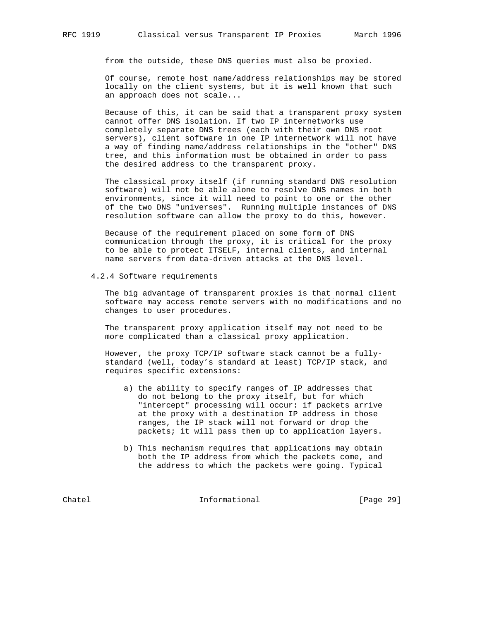from the outside, these DNS queries must also be proxied.

 Of course, remote host name/address relationships may be stored locally on the client systems, but it is well known that such an approach does not scale...

 Because of this, it can be said that a transparent proxy system cannot offer DNS isolation. If two IP internetworks use completely separate DNS trees (each with their own DNS root servers), client software in one IP internetwork will not have a way of finding name/address relationships in the "other" DNS tree, and this information must be obtained in order to pass the desired address to the transparent proxy.

 The classical proxy itself (if running standard DNS resolution software) will not be able alone to resolve DNS names in both environments, since it will need to point to one or the other of the two DNS "universes". Running multiple instances of DNS resolution software can allow the proxy to do this, however.

 Because of the requirement placed on some form of DNS communication through the proxy, it is critical for the proxy to be able to protect ITSELF, internal clients, and internal name servers from data-driven attacks at the DNS level.

4.2.4 Software requirements

 The big advantage of transparent proxies is that normal client software may access remote servers with no modifications and no changes to user procedures.

 The transparent proxy application itself may not need to be more complicated than a classical proxy application.

 However, the proxy TCP/IP software stack cannot be a fully standard (well, today's standard at least) TCP/IP stack, and requires specific extensions:

- a) the ability to specify ranges of IP addresses that do not belong to the proxy itself, but for which "intercept" processing will occur: if packets arrive at the proxy with a destination IP address in those ranges, the IP stack will not forward or drop the packets; it will pass them up to application layers.
- b) This mechanism requires that applications may obtain both the IP address from which the packets come, and the address to which the packets were going. Typical

Chatel **Informational Informational** [Page 29]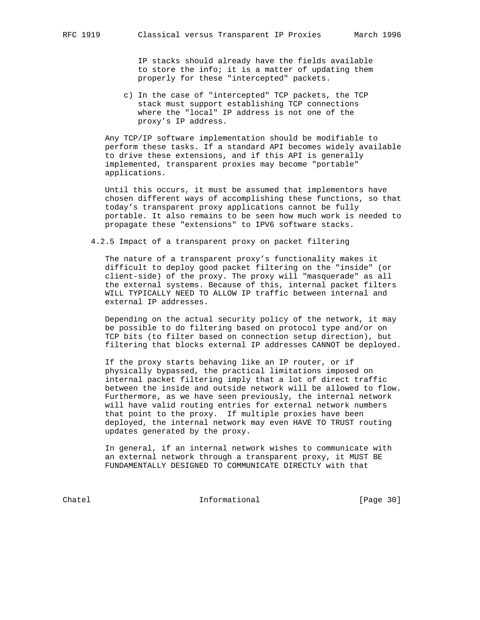IP stacks should already have the fields available to store the info; it is a matter of updating them properly for these "intercepted" packets.

 c) In the case of "intercepted" TCP packets, the TCP stack must support establishing TCP connections where the "local" IP address is not one of the proxy's IP address.

 Any TCP/IP software implementation should be modifiable to perform these tasks. If a standard API becomes widely available to drive these extensions, and if this API is generally implemented, transparent proxies may become "portable" applications.

 Until this occurs, it must be assumed that implementors have chosen different ways of accomplishing these functions, so that today's transparent proxy applications cannot be fully portable. It also remains to be seen how much work is needed to propagate these "extensions" to IPV6 software stacks.

4.2.5 Impact of a transparent proxy on packet filtering

 The nature of a transparent proxy's functionality makes it difficult to deploy good packet filtering on the "inside" (or client-side) of the proxy. The proxy will "masquerade" as all the external systems. Because of this, internal packet filters WILL TYPICALLY NEED TO ALLOW IP traffic between internal and external IP addresses.

 Depending on the actual security policy of the network, it may be possible to do filtering based on protocol type and/or on TCP bits (to filter based on connection setup direction), but filtering that blocks external IP addresses CANNOT be deployed.

 If the proxy starts behaving like an IP router, or if physically bypassed, the practical limitations imposed on internal packet filtering imply that a lot of direct traffic between the inside and outside network will be allowed to flow. Furthermore, as we have seen previously, the internal network will have valid routing entries for external network numbers that point to the proxy. If multiple proxies have been deployed, the internal network may even HAVE TO TRUST routing updates generated by the proxy.

 In general, if an internal network wishes to communicate with an external network through a transparent proxy, it MUST BE FUNDAMENTALLY DESIGNED TO COMMUNICATE DIRECTLY with that

Chatel **Informational Informational** [Page 30]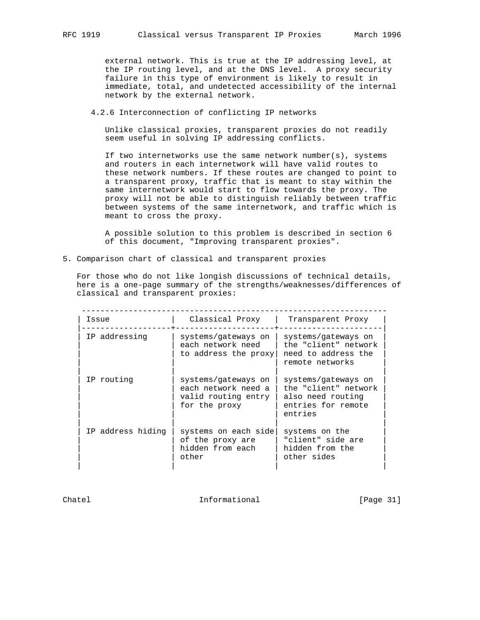external network. This is true at the IP addressing level, at the IP routing level, and at the DNS level. A proxy security failure in this type of environment is likely to result in immediate, total, and undetected accessibility of the internal network by the external network.

4.2.6 Interconnection of conflicting IP networks

 Unlike classical proxies, transparent proxies do not readily seem useful in solving IP addressing conflicts.

 If two internetworks use the same network number(s), systems and routers in each internetwork will have valid routes to these network numbers. If these routes are changed to point to a transparent proxy, traffic that is meant to stay within the same internetwork would start to flow towards the proxy. The proxy will not be able to distinguish reliably between traffic between systems of the same internetwork, and traffic which is meant to cross the proxy.

 A possible solution to this problem is described in section 6 of this document, "Improving transparent proxies".

5. Comparison chart of classical and transparent proxies

 For those who do not like longish discussions of technical details, here is a one-page summary of the strengths/weaknesses/differences of classical and transparent proxies:

| Issue             | Classical Proxy                                                                    | Transparent Proxy                                                                                 |
|-------------------|------------------------------------------------------------------------------------|---------------------------------------------------------------------------------------------------|
| IP addressing     | systems/gateways on<br>each network need<br>to address the proxy                   | systems/gateways on<br>the "client" network<br>need to address the<br>remote networks             |
| IP routing        | systems/gateways on<br>each network need a<br>valid routing entry<br>for the proxy | systems/gateways on<br>the "client" network<br>also need routing<br>entries for remote<br>entries |
| IP address hiding | systems on each side<br>of the proxy are<br>hidden from each<br>other              | systems on the<br>"client" side are<br>hidden from the<br>other sides                             |

Chatel **Informational Informational** [Page 31]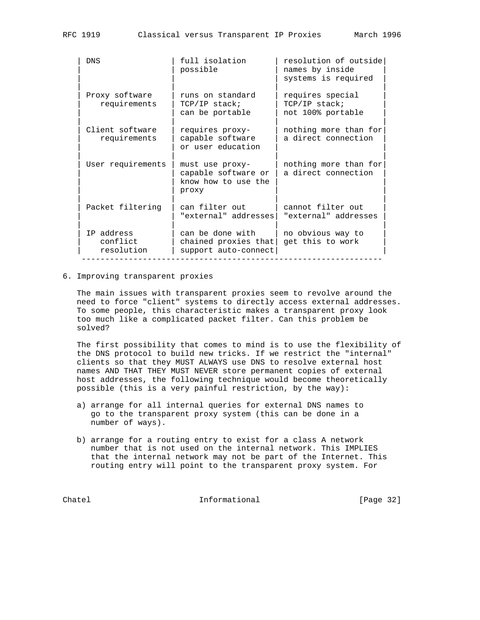| <b>DNS</b>                           | full isolation<br>possible                                             | resolution of outside<br>names by inside<br>systems is required |
|--------------------------------------|------------------------------------------------------------------------|-----------------------------------------------------------------|
| Proxy software<br>requirements       | runs on standard<br>TCP/IP stack;<br>can be portable                   | requires special<br>TCP/IP stack;<br>not 100% portable          |
| Client software<br>requirements      | requires proxy-<br>capable software<br>or user education               | nothing more than for<br>a direct connection                    |
| User requirements                    | must use proxy-<br>capable software or<br>know how to use the<br>proxy | nothing more than for<br>a direct connection                    |
| Packet filtering                     | can filter out<br>"external" addresses                                 | cannot filter out<br>"external" addresses                       |
| IP address<br>conflict<br>resolution | can be done with<br>chained proxies that<br>support auto-connect       | no obvious way to<br>get this to work                           |

#### 6. Improving transparent proxies

 The main issues with transparent proxies seem to revolve around the need to force "client" systems to directly access external addresses. To some people, this characteristic makes a transparent proxy look too much like a complicated packet filter. Can this problem be solved?

 The first possibility that comes to mind is to use the flexibility of the DNS protocol to build new tricks. If we restrict the "internal" clients so that they MUST ALWAYS use DNS to resolve external host names AND THAT THEY MUST NEVER store permanent copies of external host addresses, the following technique would become theoretically possible (this is a very painful restriction, by the way):

- a) arrange for all internal queries for external DNS names to go to the transparent proxy system (this can be done in a number of ways).
- b) arrange for a routing entry to exist for a class A network number that is not used on the internal network. This IMPLIES that the internal network may not be part of the Internet. This routing entry will point to the transparent proxy system. For

Chatel **Informational Informational** [Page 32]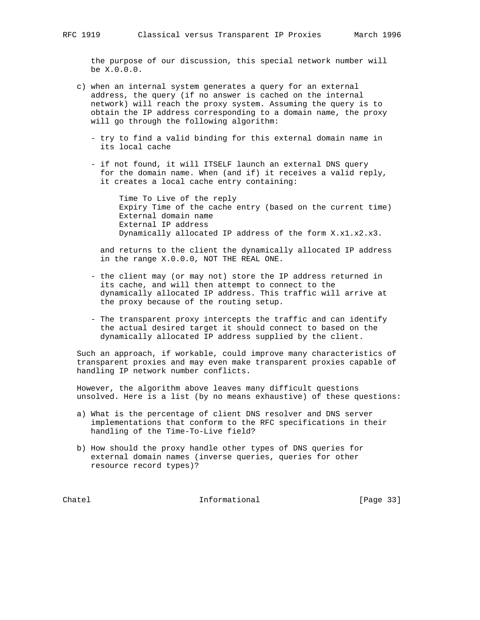the purpose of our discussion, this special network number will be X.0.0.0.

- c) when an internal system generates a query for an external address, the query (if no answer is cached on the internal network) will reach the proxy system. Assuming the query is to obtain the IP address corresponding to a domain name, the proxy will go through the following algorithm:
	- try to find a valid binding for this external domain name in its local cache
	- if not found, it will ITSELF launch an external DNS query for the domain name. When (and if) it receives a valid reply, it creates a local cache entry containing:

 Time To Live of the reply Expiry Time of the cache entry (based on the current time) External domain name External IP address Dynamically allocated IP address of the form X.x1.x2.x3.

 and returns to the client the dynamically allocated IP address in the range X.0.0.0, NOT THE REAL ONE.

- the client may (or may not) store the IP address returned in its cache, and will then attempt to connect to the dynamically allocated IP address. This traffic will arrive at the proxy because of the routing setup.
- The transparent proxy intercepts the traffic and can identify the actual desired target it should connect to based on the dynamically allocated IP address supplied by the client.

 Such an approach, if workable, could improve many characteristics of transparent proxies and may even make transparent proxies capable of handling IP network number conflicts.

 However, the algorithm above leaves many difficult questions unsolved. Here is a list (by no means exhaustive) of these questions:

- a) What is the percentage of client DNS resolver and DNS server implementations that conform to the RFC specifications in their handling of the Time-To-Live field?
- b) How should the proxy handle other types of DNS queries for external domain names (inverse queries, queries for other resource record types)?

Chatel **Informational** Informational [Page 33]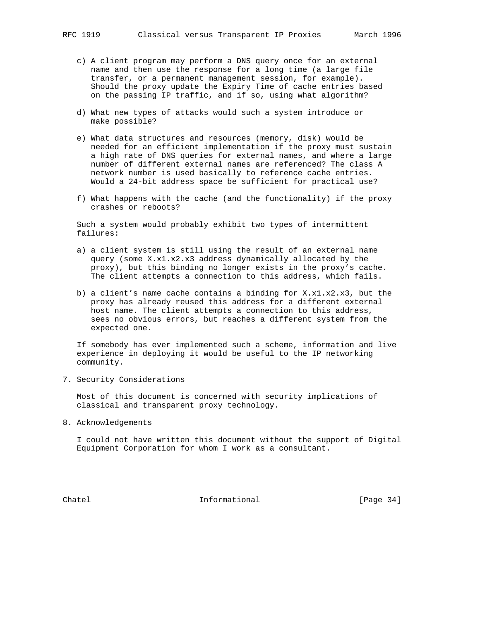- c) A client program may perform a DNS query once for an external name and then use the response for a long time (a large file transfer, or a permanent management session, for example). Should the proxy update the Expiry Time of cache entries based on the passing IP traffic, and if so, using what algorithm?
- d) What new types of attacks would such a system introduce or make possible?
- e) What data structures and resources (memory, disk) would be needed for an efficient implementation if the proxy must sustain a high rate of DNS queries for external names, and where a large number of different external names are referenced? The class A network number is used basically to reference cache entries. Would a 24-bit address space be sufficient for practical use?
- f) What happens with the cache (and the functionality) if the proxy crashes or reboots?

 Such a system would probably exhibit two types of intermittent failures:

- a) a client system is still using the result of an external name query (some X.x1.x2.x3 address dynamically allocated by the proxy), but this binding no longer exists in the proxy's cache. The client attempts a connection to this address, which fails.
- b) a client's name cache contains a binding for X.x1.x2.x3, but the proxy has already reused this address for a different external host name. The client attempts a connection to this address, sees no obvious errors, but reaches a different system from the expected one.

 If somebody has ever implemented such a scheme, information and live experience in deploying it would be useful to the IP networking community.

7. Security Considerations

 Most of this document is concerned with security implications of classical and transparent proxy technology.

8. Acknowledgements

 I could not have written this document without the support of Digital Equipment Corporation for whom I work as a consultant.

Chatel **Informational** Informational [Page 34]